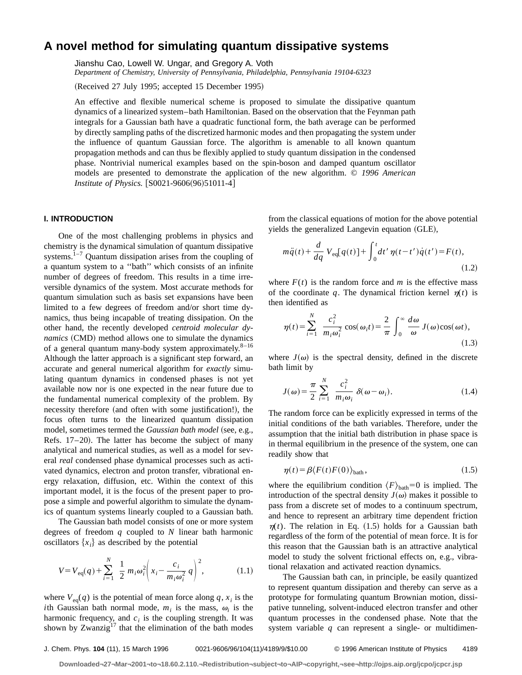# **A novel method for simulating quantum dissipative systems**

Jianshu Cao, Lowell W. Ungar, and Gregory A. Voth

*Department of Chemistry, University of Pennsylvania, Philadelphia, Pennsylvania 19104-6323*

(Received 27 July 1995; accepted 15 December 1995)

An effective and flexible numerical scheme is proposed to simulate the dissipative quantum dynamics of a linearized system–bath Hamiltonian. Based on the observation that the Feynman path integrals for a Gaussian bath have a quadratic functional form, the bath average can be performed by directly sampling paths of the discretized harmonic modes and then propagating the system under the influence of quantum Gaussian force. The algorithm is amenable to all known quantum propagation methods and can thus be flexibly applied to study quantum dissipation in the condensed phase. Nontrivial numerical examples based on the spin-boson and damped quantum oscillator models are presented to demonstrate the application of the new algorithm. © *1996 American Institute of Physics.* [S0021-9606(96)51011-4]

## **I. INTRODUCTION**

One of the most challenging problems in physics and chemistry is the dynamical simulation of quantum dissipative systems.1–7 Quantum dissipation arises from the coupling of a quantum system to a ''bath'' which consists of an infinite number of degrees of freedom. This results in a time irreversible dynamics of the system. Most accurate methods for quantum simulation such as basis set expansions have been limited to a few degrees of freedom and/or short time dynamics, thus being incapable of treating dissipation. On the other hand, the recently developed *centroid molecular dynamics* (CMD) method allows one to simulate the dynamics of a general quantum many-body system approximately. $8-16$ Although the latter approach is a significant step forward, an accurate and general numerical algorithm for *exactly* simulating quantum dynamics in condensed phases is not yet available now nor is one expected in the near future due to the fundamental numerical complexity of the problem. By necessity therefore (and often with some justification!), the focus often turns to the linearized quantum dissipation model, sometimes termed the *Gaussian bath model* (see, e.g., Refs.  $17-20$ ). The latter has become the subject of many analytical and numerical studies, as well as a model for several *real* condensed phase dynamical processes such as activated dynamics, electron and proton transfer, vibrational energy relaxation, diffusion, etc. Within the context of this important model, it is the focus of the present paper to propose a simple and powerful algorithm to simulate the dynamics of quantum systems linearly coupled to a Gaussian bath.

The Gaussian bath model consists of one or more system degrees of freedom *q* coupled to *N* linear bath harmonic oscillators  $\{x_i\}$  as described by the potential

$$
V = V_{\text{eq}}(q) + \sum_{i=1}^{N} \frac{1}{2} m_i \omega_i^2 \left( x_i - \frac{c_i}{m_i \omega_i^2} q \right)^2, \tag{1.1}
$$

where  $V_{eq}(q)$  is the potential of mean force along  $q$ ,  $x_i$  is the *i*th Gaussian bath normal mode,  $m_i$  is the mass,  $\omega_i$  is the harmonic frequency, and  $c_i$  is the coupling strength. It was shown by Zwanzig<sup>17</sup> that the elimination of the bath modes from the classical equations of motion for the above potential yields the generalized Langevin equation (GLE),

$$
m\ddot{q}(t) + \frac{d}{dq} V_{eq}[q(t)] + \int_0^t dt' \eta(t - t') \dot{q}(t') = F(t),
$$
\n(1.2)

where  $F(t)$  is the random force and *m* is the effective mass of the coordinate q. The dynamical friction kernel  $\eta(t)$  is then identified as

$$
\eta(t) = \sum_{i=1}^{N} \frac{c_i^2}{m_i \omega_i^2} \cos(\omega_i t) = \frac{2}{\pi} \int_0^{\infty} \frac{d\omega}{\omega} J(\omega) \cos(\omega t),
$$
\n(1.3)

where  $J(\omega)$  is the spectral density, defined in the discrete bath limit by

$$
J(\omega) = \frac{\pi}{2} \sum_{i=1}^{N} \frac{c_i^2}{m_i \omega_i} \delta(\omega - \omega_i). \tag{1.4}
$$

The random force can be explicitly expressed in terms of the initial conditions of the bath variables. Therefore, under the assumption that the initial bath distribution in phase space is in thermal equilibrium in the presence of the system, one can readily show that

$$
\eta(t) = \beta \langle F(t)F(0) \rangle_{\text{bath}},\tag{1.5}
$$

where the equilibrium condition  $\langle F \rangle_{\text{bath}}=0$  is implied. The introduction of the spectral density  $J(\omega)$  makes it possible to pass from a discrete set of modes to a continuum spectrum, and hence to represent an arbitrary time dependent friction  $\eta(t)$ . The relation in Eq. (1.5) holds for a Gaussian bath regardless of the form of the potential of mean force. It is for this reason that the Gaussian bath is an attractive analytical model to study the solvent frictional effects on, e.g., vibrational relaxation and activated reaction dynamics.

The Gaussian bath can, in principle, be easily quantized to represent quantum dissipation and thereby can serve as a prototype for formulating quantum Brownian motion, dissipative tunneling, solvent-induced electron transfer and other quantum processes in the condensed phase. Note that the system variable *q* can represent a single- or multidimen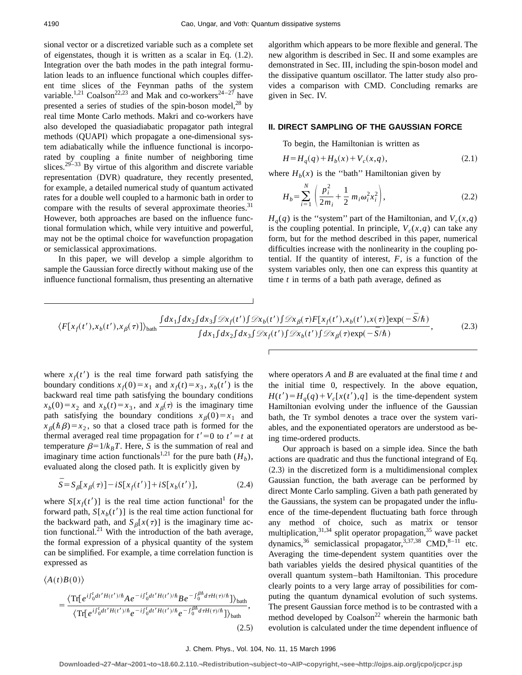sional vector or a discretized variable such as a complete set of eigenstates, though it is written as a scalar in Eq.  $(1.2)$ . Integration over the bath modes in the path integral formulation leads to an influence functional which couples different time slices of the Feynman paths of the system variable.<sup>1,21</sup> Coalson<sup>22,23</sup> and Mak and co-workers<sup>24-27</sup> have presented a series of studies of the spin-boson model, $^{28}$  by real time Monte Carlo methods. Makri and co-workers have also developed the quasiadiabatic propagator path integral methods (QUAPI) which propagate a one-dimensional system adiabatically while the influence functional is incorporated by coupling a finite number of neighboring time slices.<sup>29–33</sup> By virtue of this algorithm and discrete variable representation (DVR) quadrature, they recently presented, for example, a detailed numerical study of quantum activated rates for a double well coupled to a harmonic bath in order to compare with the results of several approximate theories.<sup>31</sup> However, both approaches are based on the influence functional formulation which, while very intuitive and powerful, may not be the optimal choice for wavefunction propagation or semiclassical approximations.

In this paper, we will develop a simple algorithm to sample the Gaussian force directly without making use of the influence functional formalism, thus presenting an alternative algorithm which appears to be more flexible and general. The new algorithm is described in Sec. II and some examples are demonstrated in Sec. III, including the spin-boson model and the dissipative quantum oscillator. The latter study also provides a comparison with CMD. Concluding remarks are given in Sec. IV.

### **II. DIRECT SAMPLING OF THE GAUSSIAN FORCE**

To begin, the Hamiltonian is written as

$$
H = H_q(q) + H_b(x) + V_c(x, q), \tag{2.1}
$$

where  $H<sub>b</sub>(x)$  is the "bath" Hamiltonian given by

$$
H_b = \sum_{i=1}^{N} \left( \frac{p_i^2}{2m_i} + \frac{1}{2} m_i \omega_i^2 x_i^2 \right),
$$
 (2.2)

 $H_q(q)$  is the "system" part of the Hamiltonian, and  $V_c(x,q)$ is the coupling potential. In principle,  $V_c(x,q)$  can take any form, but for the method described in this paper, numerical difficulties increase with the nonlinearity in the coupling potential. If the quantity of interest,  $F$ , is a function of the system variables only, then one can express this quantity at time *t* in terms of a bath path average, defined as

$$
\langle F[x_f(t'),x_b(t'),x_\beta(\tau)]\rangle_{\text{bath}} \frac{\int dx_1 \int dx_2 \int dx_3 \int \mathcal{D}x_f(t') \int \mathcal{D}x_b(t') \int \mathcal{D}x_\beta(\tau) F[x_f(t'),x_b(t'),x(\tau)] \exp(-\bar{S}/\hbar)}{\int dx_1 \int dx_2 \int dx_3 \int \mathcal{D}x_f(t') \int \mathcal{D}x_b(t') \int \mathcal{D}x_\beta(\tau) \exp(-\bar{S}/\hbar)},\tag{2.3}
$$

where  $x_f(t')$  is the real time forward path satisfying the boundary conditions  $x_f(0) = x_1$  and  $x_f(t) = x_3$ ,  $x_b(t')$  is the backward real time path satisfying the boundary conditions  $x_b(0) = x_2$  and  $x_b(t) = x_3$ , and  $x_d(\tau)$  is the imaginary time path satisfying the boundary conditions  $x_{\beta}(0) = x_1$  and  $x_{\beta}(\hbar\beta)=x_2$ , so that a closed trace path is formed for the thermal averaged real time propagation for  $t'=0$  to  $t'=t$  at temperature  $\beta=1/k_BT$ . Here,  $\overline{S}$  is the summation of real and imaginary time action functionals<sup>1,21</sup> for the pure bath  $(H_b)$ , evaluated along the closed path. It is explicitly given by

$$
\bar{S} = S_{\beta}[x_{\beta}(\tau)] - iS[x_{f}(t')] + iS[x_{b}(t')],
$$
\n(2.4)

where  $S[x_f(t')]$  is the real time action functional<sup>1</sup> for the forward path,  $S[x_b(t')]$  is the real time action functional for the backward path, and  $S_\beta[x(\tau)]$  is the imaginary time action functional. $^{21}$  With the introduction of the bath average, the formal expression of a physical quantity of the system can be simplified. For example, a time correlation function is expressed as

$$
\langle A(t)B(0)\rangle = \frac{\langle \text{Tr}[e^{i\int_0^t dt'H(t')/\hbar}Ae^{-i\int_0^t dt'H(t')/\hbar}Be^{-\int_0^{\beta\hbar}d\tau H(\tau)/\hbar}]\rangle_{\text{bath}}}{\langle \text{Tr}[e^{i\int_0^t dt'H(t')/\hbar}e^{-i\int_0^t dt'H(t')/\hbar}e^{-\int_0^{\beta\hbar}d\tau H(\tau)/\hbar}]\rangle_{\text{bath}}},\tag{2.5}
$$

where operators *A* and *B* are evaluated at the final time *t* and the initial time 0, respectively. In the above equation,  $H(t') = H_q(q) + V_c[x(t'),q]$  is the time-dependent system Hamiltonian evolving under the influence of the Gaussian bath, the Tr symbol denotes a trace over the system variables, and the exponentiated operators are understood as being time-ordered products.

Our approach is based on a simple idea. Since the bath actions are quadratic and thus the functional integrand of Eq.  $(2.3)$  in the discretized form is a multidimensional complex Gaussian function, the bath average can be performed by direct Monte Carlo sampling. Given a bath path generated by the Gaussians, the system can be propagated under the influence of the time-dependent fluctuating bath force through any method of choice, such as matrix or tensor multiplication, $31,34$  split operator propagation, $35$  wave packet dynamics,<sup>36</sup> semiclassical propagator,<sup>3,37,38</sup> CMD,<sup>8-11</sup> etc. Averaging the time-dependent system quantities over the bath variables yields the desired physical quantities of the overall quantum system–bath Hamiltonian. This procedure clearly points to a very large array of possibilities for computing the quantum dynamical evolution of such systems. The present Gaussian force method is to be contrasted with a method developed by  $\text{Coalson}^{22}$  wherein the harmonic bath evolution is calculated under the time dependent influence of

J. Chem. Phys., Vol. 104, No. 11, 15 March 1996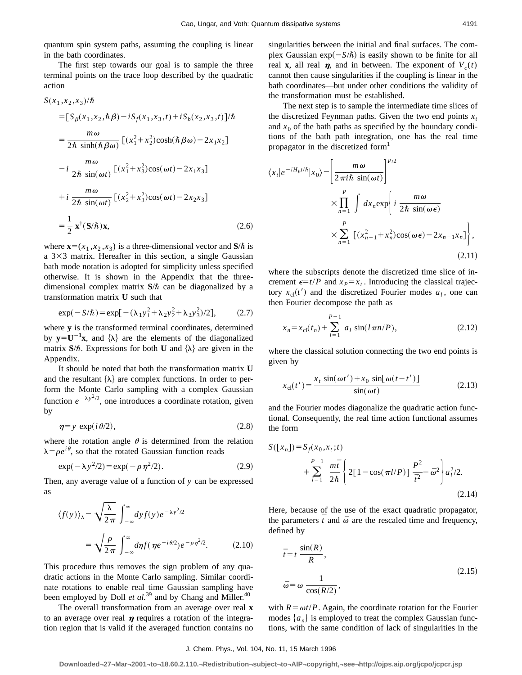quantum spin system paths, assuming the coupling is linear in the bath coordinates.

The first step towards our goal is to sample the three terminal points on the trace loop described by the quadratic action

$$
S(x_1, x_2, x_3)/\hbar
$$
  
\n
$$
= [S_{\beta}(x_1, x_2, \hbar \beta) - iS_f(x_1, x_3, t) + iS_b(x_2, x_3, t)]/\hbar
$$
  
\n
$$
= \frac{m\omega}{2\hbar \sinh(\hbar \beta \omega)} [(x_1^2 + x_2^2)\cosh(\hbar \beta \omega) - 2x_1x_2]
$$
  
\n
$$
-i \frac{m\omega}{2\hbar \sin(\omega t)} [(x_1^2 + x_3^2)\cos(\omega t) - 2x_1x_3]
$$
  
\n
$$
+i \frac{m\omega}{2\hbar \sin(\omega t)} [(x_2^2 + x_3^2)\cos(\omega t) - 2x_2x_3]
$$
  
\n
$$
= \frac{1}{2} \mathbf{x}^{\dagger} (\mathbf{S}/\hbar) \mathbf{x},
$$
\n(2.6)

where  $\mathbf{x}=(x_1, x_2, x_3)$  is a three-dimensional vector and  $\mathbf{S}/\hbar$  is a  $3\times3$  matrix. Hereafter in this section, a single Gaussian bath mode notation is adopted for simplicity unless specified otherwise. It is shown in the Appendix that the threedimensional complex matrix  $S/\hbar$  can be diagonalized by a transformation matrix **U** such that

$$
\exp(-S/\hbar) = \exp[-(\lambda_1 y_1^2 + \lambda_2 y_2^2 + \lambda_3 y_3^2)/2],\tag{2.7}
$$

where **y** is the transformed terminal coordinates, determined by  $y=U^{-1}x$ , and  $\{\lambda\}$  are the elements of the diagonalized matrix  $S/\hbar$ . Expressions for both **U** and  $\{\lambda\}$  are given in the Appendix.

It should be noted that both the transformation matrix **U** and the resultant  $\{\lambda\}$  are complex functions. In order to perform the Monte Carlo sampling with a complex Gaussian function  $e^{-\lambda y^2/2}$ , one introduces a coordinate rotation, given by

$$
\eta = y \, \exp(i \, \theta/2),\tag{2.8}
$$

where the rotation angle  $\theta$  is determined from the relation  $\lambda = \rho e^{i\theta}$ , so that the rotated Gaussian function reads

$$
\exp(-\lambda y^2/2) = \exp(-\rho \eta^2/2). \tag{2.9}
$$

Then, any average value of a function of *y* can be expressed as

$$
\langle f(y) \rangle_{\lambda} = \sqrt{\frac{\lambda}{2\pi}} \int_{-\infty}^{\infty} dy f(y) e^{-\lambda y^2/2}
$$

$$
= \sqrt{\frac{\rho}{2\pi}} \int_{-\infty}^{\infty} d\eta f(\eta e^{-i\theta/2}) e^{-\rho \eta^2/2}.
$$
 (2.10)

This procedure thus removes the sign problem of any quadratic actions in the Monte Carlo sampling. Similar coordinate rotations to enable real time Gaussian sampling have been employed by Doll *et al.*<sup>39</sup> and by Chang and Miller.<sup>40</sup>

The overall transformation from an average over real **x** to an average over real  $\eta$  requires a rotation of the integration region that is valid if the averaged function contains no singularities between the initial and final surfaces. The complex Gaussian  $\exp(-S/\hbar)$  is easily shown to be finite for all real **x**, all real  $\eta$ , and in between. The exponent of  $V_c(t)$ cannot then cause singularities if the coupling is linear in the bath coordinates—but under other conditions the validity of the transformation must be established.

The next step is to sample the intermediate time slices of the discretized Feynman paths. Given the two end points  $x_t$ and  $x<sub>0</sub>$  of the bath paths as specified by the boundary conditions of the bath path integration, one has the real time propagator in the discretized form<sup>1</sup>

$$
\langle x_t | e^{-iH_b t/\hbar} | x_0 \rangle = \left[ \frac{m\omega}{2\pi i \hbar \sin(\omega t)} \right]^{P/2}
$$
  
 
$$
\times \prod_{n=1}^P \int dx_n \exp\left\{ i \frac{m\omega}{2\hbar \sin(\omega \epsilon)} \right\}
$$
  
 
$$
\times \sum_{n=1}^P \left[ (x_{n-1}^2 + x_n^2) \cos(\omega \epsilon) - 2x_{n-1} x_n \right] \rangle,
$$
  
(2.11)

where the subscripts denote the discretized time slice of increment  $\epsilon = t/P$  and  $x_P = x_t$ . Introducing the classical trajectory  $x_{c1}(t')$  and the discretized Fourier modes  $a_1$ , one can then Fourier decompose the path as

$$
x_n = x_{\text{cl}}(t_n) + \sum_{l=1}^{P-1} a_l \sin(l\pi n/P), \qquad (2.12)
$$

where the classical solution connecting the two end points is given by

$$
x_{\rm cl}(t') = \frac{x_t \sin(\omega t') + x_0 \sin[\omega(t - t')]}{\sin(\omega t)}
$$
(2.13)

and the Fourier modes diagonalize the quadratic action functional. Consequently, the real time action functional assumes the form

$$
S([x_n]) = S_f(x_0, x_t; t)
$$
  
+ 
$$
\sum_{l=1}^{P-1} \frac{m\bar{t}}{2\hbar} \left\{ 2[1 - \cos(\pi l/P)] \frac{P^2}{\bar{t}^2} - \bar{\omega}^2 \right\} a_l^2 / 2.
$$
  
(2.14)

Here, because of the use of the exact quadratic propagator, the parameters  $\bar{t}$  and  $\bar{\omega}$  are the rescaled time and frequency, defined by

$$
\bar{t} = t \frac{\sin(R)}{R},
$$
  
\n
$$
\bar{\omega} = \omega \frac{1}{\cos(R/2)},
$$
\n(2.15)

with  $R = \omega t / P$ . Again, the coordinate rotation for the Fourier modes  ${a_n}$  is employed to treat the complex Gaussian functions, with the same condition of lack of singularities in the

#### J. Chem. Phys., Vol. 104, No. 11, 15 March 1996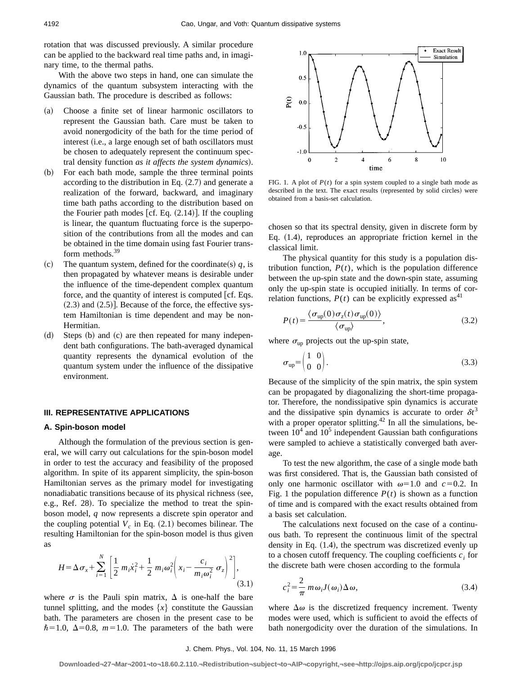rotation that was discussed previously. A similar procedure can be applied to the backward real time paths and, in imaginary time, to the thermal paths.

With the above two steps in hand, one can simulate the dynamics of the quantum subsystem interacting with the Gaussian bath. The procedure is described as follows:

- (a) Choose a finite set of linear harmonic oscillators to represent the Gaussian bath. Care must be taken to avoid nonergodicity of the bath for the time period of interest (i.e., a large enough set of bath oscillators must be chosen to adequately represent the continuum spectral density function *as it affects the system dynamics*!.
- (b) For each bath mode, sample the three terminal points according to the distribution in Eq.  $(2.7)$  and generate a realization of the forward, backward, and imaginary time bath paths according to the distribution based on the Fourier path modes [cf. Eq.  $(2.14)$ ]. If the coupling is linear, the quantum fluctuating force is the superposition of the contributions from all the modes and can be obtained in the time domain using fast Fourier transform methods.<sup>39</sup>
- (c) The quantum system, defined for the coordinate(s)  $q$ , is then propagated by whatever means is desirable under the influence of the time-dependent complex quantum force, and the quantity of interest is computed  $[cf. Eqs.$  $(2.3)$  and  $(2.5)$ ]. Because of the force, the effective system Hamiltonian is time dependent and may be non-Hermitian.
- (d) Steps (b) and (c) are then repeated for many independent bath configurations. The bath-averaged dynamical quantity represents the dynamical evolution of the quantum system under the influence of the dissipative environment.

## **III. REPRESENTATIVE APPLICATIONS**

#### **A. Spin-boson model**

Although the formulation of the previous section is general, we will carry out calculations for the spin-boson model in order to test the accuracy and feasibility of the proposed algorithm. In spite of its apparent simplicity, the spin-boson Hamiltonian serves as the primary model for investigating nonadiabatic transitions because of its physical richness (see, e.g., Ref. 28). To specialize the method to treat the spinboson model, *q* now represents a discrete spin operator and the coupling potential  $V_c$  in Eq.  $(2.1)$  becomes bilinear. The resulting Hamiltonian for the spin-boson model is thus given as

$$
H = \Delta \sigma_x + \sum_{i=1}^{N} \left[ \frac{1}{2} m_i \dot{x}_i^2 + \frac{1}{2} m_i \omega_i^2 \left( x_i - \frac{c_i}{m_i \omega_i^2} \sigma_z \right)^2 \right],
$$
\n(3.1)

where  $\sigma$  is the Pauli spin matrix,  $\Delta$  is one-half the bare tunnel splitting, and the modes  $\{x\}$  constitute the Gaussian bath. The parameters are chosen in the present case to be  $\hbar$ =1.0,  $\Delta$ =0.8,  $m$ =1.0. The parameters of the bath were



FIG. 1. A plot of  $P(t)$  for a spin system coupled to a single bath mode as described in the text. The exact results (represented by solid circles) were obtained from a basis-set calculation.

chosen so that its spectral density, given in discrete form by Eq.  $(1.4)$ , reproduces an appropriate friction kernel in the classical limit.

The physical quantity for this study is a population distribution function,  $P(t)$ , which is the population difference between the up-spin state and the down-spin state, assuming only the up-spin state is occupied initially. In terms of correlation functions,  $P(t)$  can be explicitly expressed as<sup>41</sup>

$$
P(t) = \frac{\langle \sigma_{\text{up}}(0) \sigma_z(t) \sigma_{\text{up}}(0) \rangle}{\langle \sigma_{\text{up}} \rangle},
$$
\n(3.2)

where  $\sigma_{\text{up}}$  projects out the up-spin state,

$$
\sigma_{\text{up}} = \begin{pmatrix} 1 & 0 \\ 0 & 0 \end{pmatrix} . \tag{3.3}
$$

Because of the simplicity of the spin matrix, the spin system can be propagated by diagonalizing the short-time propagator. Therefore, the nondissipative spin dynamics is accurate and the dissipative spin dynamics is accurate to order  $\delta t^3$ with a proper operator splitting.<sup>42</sup> In all the simulations, between  $10^4$  and  $10^5$  independent Gaussian bath configurations were sampled to achieve a statistically converged bath average.

To test the new algorithm, the case of a single mode bath was first considered. That is, the Gaussian bath consisted of only one harmonic oscillator with  $\omega$ =1.0 and *c*=0.2. In Fig. 1 the population difference  $P(t)$  is shown as a function of time and is compared with the exact results obtained from a basis set calculation.

The calculations next focused on the case of a continuous bath. To represent the continuous limit of the spectral density in Eq.  $(1.4)$ , the spectrum was discretized evenly up to a chosen cutoff frequency. The coupling coefficients  $c_i$  for the discrete bath were chosen according to the formula

$$
c_i^2 = \frac{2}{\pi} m \omega_i J(\omega_i) \Delta \omega, \qquad (3.4)
$$

where  $\Delta\omega$  is the discretized frequency increment. Twenty modes were used, which is sufficient to avoid the effects of bath nonergodicity over the duration of the simulations. In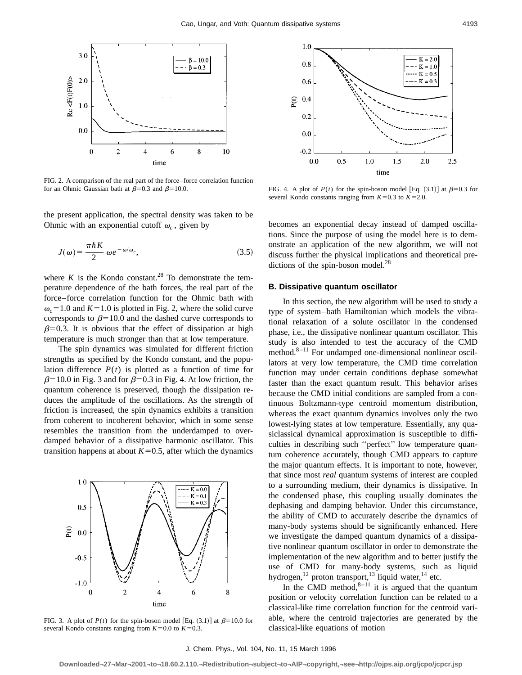

FIG. 2. A comparison of the real part of the force–force correlation function for an Ohmic Gaussian bath at  $\beta$ =0.3 and  $\beta$ =10.0.

the present application, the spectral density was taken to be Ohmic with an exponential cutoff  $\omega_c$ , given by

$$
J(\omega) = \frac{\pi \hbar K}{2} \omega e^{-\omega/\omega_c},
$$
\n(3.5)

where  $K$  is the Kondo constant.<sup>28</sup> To demonstrate the temperature dependence of the bath forces, the real part of the force–force correlation function for the Ohmic bath with  $\omega_c$ =1.0 and *K* = 1.0 is plotted in Fig. 2, where the solid curve corresponds to  $\beta$ =10.0 and the dashed curve corresponds to  $\beta$ =0.3. It is obvious that the effect of dissipation at high temperature is much stronger than that at low temperature.

The spin dynamics was simulated for different friction strengths as specified by the Kondo constant, and the population difference  $P(t)$  is plotted as a function of time for  $\beta$ =10.0 in Fig. 3 and for  $\beta$ =0.3 in Fig. 4. At low friction, the quantum coherence is preserved, though the dissipation reduces the amplitude of the oscillations. As the strength of friction is increased, the spin dynamics exhibits a transition from coherent to incoherent behavior, which in some sense resembles the transition from the underdamped to overdamped behavior of a dissipative harmonic oscillator. This transition happens at about  $K=0.5$ , after which the dynamics



FIG. 3. A plot of  $P(t)$  for the spin-boson model [Eq. (3.1)] at  $\beta=10.0$  for several Kondo constants ranging from  $K=0.0$  to  $K=0.3$ .

 $1.0$  $K = 2.0$  $0.8$  $\cdot$  K = 1.0  $\cdots$  K = 0.5 0.6  $-K = 0.3$  $P(t)$  $0.4$  $0.2$  $0.0$  $-0.2$  $0.0$  $0.5$ 1.0 1.5 2.0 2.5 time

FIG. 4. A plot of  $P(t)$  for the spin-boson model [Eq. (3.1)] at  $\beta=0.3$  for several Kondo constants ranging from  $K=0.3$  to  $K=2.0$ .

becomes an exponential decay instead of damped oscillations. Since the purpose of using the model here is to demonstrate an application of the new algorithm, we will not discuss further the physical implications and theoretical predictions of the spin-boson model. $^{28}$ 

## **B. Dissipative quantum oscillator**

In this section, the new algorithm will be used to study a type of system–bath Hamiltonian which models the vibrational relaxation of a solute oscillator in the condensed phase, i.e., the dissipative nonlinear quantum oscillator. This study is also intended to test the accuracy of the CMD method.<sup>8-11</sup> For undamped one-dimensional nonlinear oscillators at very low temperature, the CMD time correlation function may under certain conditions dephase somewhat faster than the exact quantum result. This behavior arises because the CMD initial conditions are sampled from a continuous Boltzmann-type centroid momentum distribution, whereas the exact quantum dynamics involves only the two lowest-lying states at low temperature. Essentially, any quasiclassical dynamical approximation is susceptible to difficulties in describing such ''perfect'' low temperature quantum coherence accurately, though CMD appears to capture the major quantum effects. It is important to note, however, that since most *real* quantum systems of interest are coupled to a surrounding medium, their dynamics is dissipative. In the condensed phase, this coupling usually dominates the dephasing and damping behavior. Under this circumstance, the ability of CMD to accurately describe the dynamics of many-body systems should be significantly enhanced. Here we investigate the damped quantum dynamics of a dissipative nonlinear quantum oscillator in order to demonstrate the implementation of the new algorithm and to better justify the use of CMD for many-body systems, such as liquid hydrogen, $^{12}$  proton transport, $^{13}$  liquid water, $^{14}$  etc.

In the CMD method, $8-11$  it is argued that the quantum position or velocity correlation function can be related to a classical-like time correlation function for the centroid variable, where the centroid trajectories are generated by the classical-like equations of motion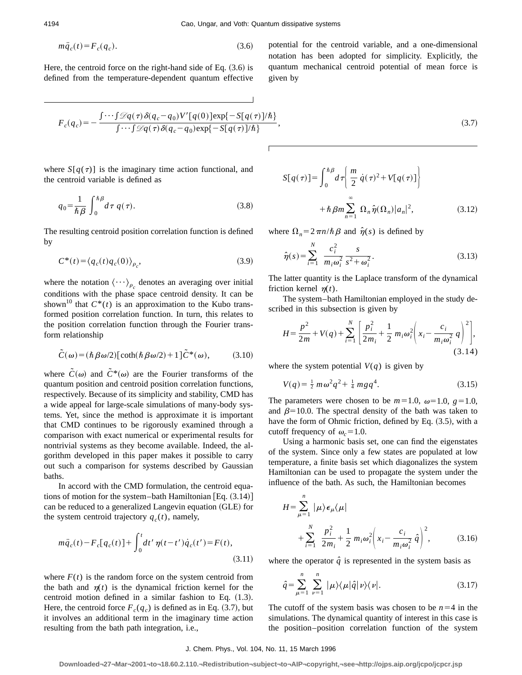$$
m\ddot{q}_c(t) = F_c(q_c). \tag{3.6}
$$

Here, the centroid force on the right-hand side of Eq.  $(3.6)$  is defined from the temperature-dependent quantum effective

$$
F_c(q_c) = -\frac{\int \cdots \int \mathcal{D}q(\tau)\delta(q_c - q_0)V'[q(0)]\exp\{-S[q(\tau)]/\hbar\}}{\int \cdots \int \mathcal{D}q(\tau)\delta(q_c - q_0)\exp\{-S[q(\tau)]/\hbar\}}
$$

where  $S[q(\tau)]$  is the imaginary time action functional, and the centroid variable is defined as

$$
q_0 = \frac{1}{\hbar \beta} \int_0^{\hbar \beta} d\tau \, q(\tau). \tag{3.8}
$$

The resulting centroid position correlation function is defined by

$$
C^*(t) = \langle q_c(t)q_c(0) \rangle_{\rho_c},\tag{3.9}
$$

where the notation  $\langle \cdots \rangle_{\rho_c}$  denotes an averaging over initial conditions with the phase space centroid density. It can be shown<sup>10</sup> that  $C^*(t)$  is an approximation to the Kubo transformed position correlation function. In turn, this relates to the position correlation function through the Fourier transform relationship

$$
\tilde{C}(\omega) = (\hbar \beta \omega/2) [\coth(\hbar \beta \omega/2) + 1] \tilde{C}^*(\omega), \qquad (3.10)
$$

where  $\tilde{C}(\omega)$  and  $\tilde{C}^*(\omega)$  are the Fourier transforms of the quantum position and centroid position correlation functions, respectively. Because of its simplicity and stability, CMD has a wide appeal for large-scale simulations of many-body systems. Yet, since the method is approximate it is important that CMD continues to be rigorously examined through a comparison with exact numerical or experimental results for nontrivial systems as they become available. Indeed, the algorithm developed in this paper makes it possible to carry out such a comparison for systems described by Gaussian baths.

In accord with the CMD formulation, the centroid equations of motion for the system–bath Hamiltonian  $[Eq. (3.14)]$ can be reduced to a generalized Langevin equation (GLE) for the system centroid trajectory  $q_c(t)$ , namely,

$$
m\ddot{q}_c(t) - F_c[q_c(t)] + \int_0^t dt' \eta(t - t')\dot{q}_c(t') = F(t),
$$
\n(3.11)

where  $F(t)$  is the random force on the system centroid from the bath and  $\eta(t)$  is the dynamical friction kernel for the centroid motion defined in a similar fashion to Eq.  $(1.3)$ . Here, the centroid force  $F_c(q_c)$  is defined as in Eq. (3.7), but it involves an additional term in the imaginary time action resulting from the bath path integration, i.e.,

potential for the centroid variable, and a one-dimensional notation has been adopted for simplicity. Explicitly, the quantum mechanical centroid potential of mean force is given by

$$
\frac{\int \mathcal{L}q(\tau)\delta(q_c-q_0)V[q(0)]\exp\{-S[q(\tau)]/h\}}{\int \cdots \int \mathcal{L}q(\tau)\delta(q_c-q_0)\exp\{-S[q(\tau)]/h\}},
$$
\n(3.7)

$$
S[q(\tau)] = \int_0^{\hbar \beta} d\tau \left\{ \frac{m}{2} \dot{q}(\tau)^2 + V[q(\tau)] \right\}
$$

$$
+ \hbar \beta m \sum_{n=1}^{\infty} \Omega_n \hat{\eta}(\Omega_n) |a_n|^2, \qquad (3.12)
$$

where  $\Omega_n = 2\pi n/\hbar \beta$  and  $\hat{\eta}(s)$  is defined by

$$
\hat{\eta}(s) = \sum_{i=1}^{N} \frac{c_i^2}{m_i \omega_i^2} \frac{s}{s^2 + \omega_i^2}.
$$
\n(3.13)

The latter quantity is the Laplace transform of the dynamical friction kernel  $\eta(t)$ .

The system–bath Hamiltonian employed in the study described in this subsection is given by

$$
H = \frac{p^2}{2m} + V(q) + \sum_{i=1}^{N} \left[ \frac{p_i^2}{2m_i} + \frac{1}{2} m_i \omega_i^2 \left( x_i - \frac{c_i}{m_i \omega_i^2} q \right)^2 \right],
$$
\n(3.14)

where the system potential  $V(q)$  is given by

$$
V(q) = \frac{1}{2} m \omega^2 q^2 + \frac{1}{4} m g q^4. \tag{3.15}
$$

The parameters were chosen to be  $m=1.0$ ,  $\omega=1.0$ ,  $g=1.0$ , and  $\beta$ =10.0. The spectral density of the bath was taken to have the form of Ohmic friction, defined by Eq.  $(3.5)$ , with a cutoff frequency of  $\omega_c = 1.0$ .

Using a harmonic basis set, one can find the eigenstates of the system. Since only a few states are populated at low temperature, a finite basis set which diagonalizes the system Hamiltonian can be used to propagate the system under the influence of the bath. As such, the Hamiltonian becomes

$$
H = \sum_{\mu=1}^{n} |\mu\rangle \epsilon_{\mu} \langle \mu|
$$
  
+ 
$$
\sum_{i=1}^{N} \frac{p_i^2}{2m_i} + \frac{1}{2} m_i \omega_i^2 \left( x_i - \frac{c_i}{m_i \omega_i^2} \hat{q} \right)^2,
$$
 (3.16)

where the operator  $\hat{q}$  is represented in the system basis as

$$
\hat{q} = \sum_{\mu=1}^{n} \sum_{\nu=1}^{n} |\mu\rangle\langle\mu|\hat{q}|\nu\rangle\langle\nu|.
$$
 (3.17)

The cutoff of the system basis was chosen to be  $n=4$  in the simulations. The dynamical quantity of interest in this case is the position–position correlation function of the system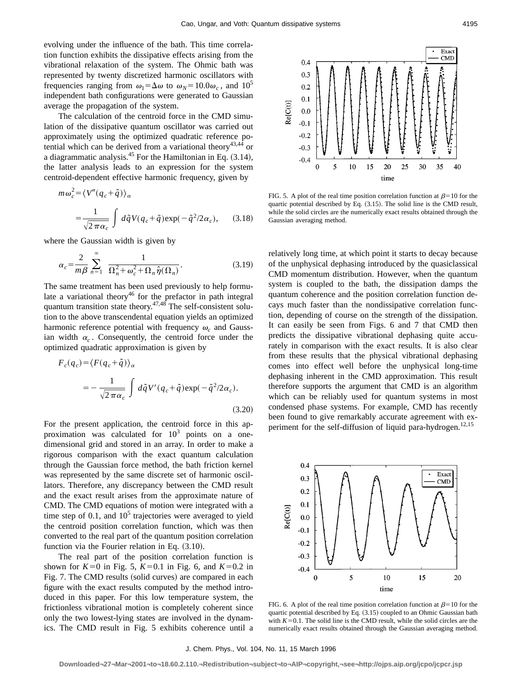evolving under the influence of the bath. This time correlation function exhibits the dissipative effects arising from the vibrational relaxation of the system. The Ohmic bath was represented by twenty discretized harmonic oscillators with frequencies ranging from  $\omega_1 = \Delta \omega$  to  $\omega_N = 10.0 \omega_c$ , and  $10^5$ independent bath configurations were generated to Gaussian average the propagation of the system.

The calculation of the centroid force in the CMD simulation of the dissipative quantum oscillator was carried out approximately using the optimized quadratic reference potential which can be derived from a variational theory<sup>43,44</sup> or a diagrammatic analysis.<sup>45</sup> For the Hamiltonian in Eq.  $(3.14)$ , the latter analysis leads to an expression for the system centroid-dependent effective harmonic frequency, given by

$$
m\omega_c^2 = \langle V''(q_c + \tilde{q}) \rangle_\alpha
$$
  
= 
$$
\frac{1}{\sqrt{2\pi\alpha_c}} \int d\tilde{q} V(q_c + \tilde{q}) \exp(-\tilde{q}^2/2\alpha_c), \qquad (3.18)
$$

where the Gaussian width is given by

$$
\alpha_c = \frac{2}{m\beta} \sum_{n=1}^{\infty} \frac{1}{\Omega_n^2 + \omega_c^2 + \Omega_n \hat{\eta}(\Omega_n)}.
$$
\n(3.19)

The same treatment has been used previously to help formulate a variational theory<sup>46</sup> for the prefactor in path integral quantum transition state theory.47,48 The self-consistent solution to the above transcendental equation yields an optimized harmonic reference potential with frequency  $\omega_c$  and Gaussian width  $\alpha_c$ . Consequently, the centroid force under the optimized quadratic approximation is given by

$$
F_c(q_c) = \langle F(q_c + \tilde{q}) \rangle_\alpha
$$
  
= 
$$
-\frac{1}{\sqrt{2\pi\alpha_c}} \int d\tilde{q} V'(q_c + \tilde{q}) \exp(-\tilde{q}^2/2\alpha_c).
$$
 (3.20)

For the present application, the centroid force in this approximation was calculated for  $10<sup>3</sup>$  points on a onedimensional grid and stored in an array. In order to make a rigorous comparison with the exact quantum calculation through the Gaussian force method, the bath friction kernel was represented by the same discrete set of harmonic oscillators. Therefore, any discrepancy between the CMD result and the exact result arises from the approximate nature of CMD. The CMD equations of motion were integrated with a time step of 0.1, and  $10<sup>5</sup>$  trajectories were averaged to yield the centroid position correlation function, which was then converted to the real part of the quantum position correlation function via the Fourier relation in Eq.  $(3.10)$ .

The real part of the position correlation function is shown for  $K=0$  in Fig. 5,  $K=0.1$  in Fig. 6, and  $K=0.2$  in Fig. 7. The CMD results (solid curves) are compared in each figure with the exact results computed by the method introduced in this paper. For this low temperature system, the frictionless vibrational motion is completely coherent since only the two lowest-lying states are involved in the dynamics. The CMD result in Fig. 5 exhibits coherence until a



FIG. 5. A plot of the real time position correlation function at  $\beta=10$  for the quartic potential described by Eq.  $(3.15)$ . The solid line is the CMD result, while the solid circles are the numerically exact results obtained through the Gaussian averaging method.

relatively long time, at which point it starts to decay because of the unphysical dephasing introduced by the quasiclassical CMD momentum distribution. However, when the quantum system is coupled to the bath, the dissipation damps the quantum coherence and the position correlation function decays much faster than the nondissipative correlation function, depending of course on the strength of the dissipation. It can easily be seen from Figs. 6 and 7 that CMD then predicts the dissipative vibrational dephasing quite accurately in comparison with the exact results. It is also clear from these results that the physical vibrational dephasing comes into effect well before the unphysical long-time dephasing inherent in the CMD approximation. This result therefore supports the argument that CMD is an algorithm which can be reliably used for quantum systems in most condensed phase systems. For example, CMD has recently been found to give remarkably accurate agreement with experiment for the self-diffusion of liquid para-hydrogen.<sup>12,15</sup>



FIG. 6. A plot of the real time position correlation function at  $\beta=10$  for the quartic potential described by Eq.  $(3.15)$  coupled to an Ohmic Gaussian bath with  $K=0.1$ . The solid line is the CMD result, while the solid circles are the numerically exact results obtained through the Gaussian averaging method.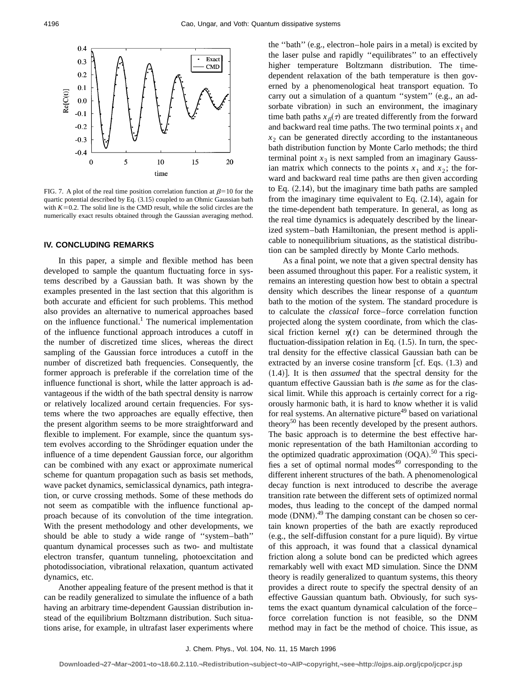

FIG. 7. A plot of the real time position correlation function at  $\beta=10$  for the quartic potential described by Eq.  $(3.15)$  coupled to an Ohmic Gaussian bath with  $K=0.2$ . The solid line is the CMD result, while the solid circles are the numerically exact results obtained through the Gaussian averaging method.

### **IV. CONCLUDING REMARKS**

In this paper, a simple and flexible method has been developed to sample the quantum fluctuating force in systems described by a Gaussian bath. It was shown by the examples presented in the last section that this algorithm is both accurate and efficient for such problems. This method also provides an alternative to numerical approaches based on the influence functional.<sup>1</sup> The numerical implementation of the influence functional approach introduces a cutoff in the number of discretized time slices, whereas the direct sampling of the Gaussian force introduces a cutoff in the number of discretized bath frequencies. Consequently, the former approach is preferable if the correlation time of the influence functional is short, while the latter approach is advantageous if the width of the bath spectral density is narrow or relatively localized around certain frequencies. For systems where the two approaches are equally effective, then the present algorithm seems to be more straightforward and flexible to implement. For example, since the quantum system evolves according to the Shrödinger equation under the influence of a time dependent Gaussian force, our algorithm can be combined with any exact or approximate numerical scheme for quantum propagation such as basis set methods, wave packet dynamics, semiclassical dynamics, path integration, or curve crossing methods. Some of these methods do not seem as compatible with the influence functional approach because of its convolution of the time integration. With the present methodology and other developments, we should be able to study a wide range of ''system–bath'' quantum dynamical processes such as two- and multistate electron transfer, quantum tunneling, photoexcitation and photodissociation, vibrational relaxation, quantum activated dynamics, etc.

Another appealing feature of the present method is that it can be readily generalized to simulate the influence of a bath having an arbitrary time-dependent Gaussian distribution instead of the equilibrium Boltzmann distribution. Such situations arise, for example, in ultrafast laser experiments where the "bath"  $(e.g., electron-hole pairs in a metal)$  is excited by the laser pulse and rapidly ''equilibrates'' to an effectively higher temperature Boltzmann distribution. The timedependent relaxation of the bath temperature is then governed by a phenomenological heat transport equation. To carry out a simulation of a quantum "system"  $(e.g., an ad$ sorbate vibration) in such an environment, the imaginary time bath paths  $x_{\beta}(\tau)$  are treated differently from the forward and backward real time paths. The two terminal points  $x_1$  and  $x<sub>2</sub>$  can be generated directly according to the instantaneous bath distribution function by Monte Carlo methods; the third terminal point  $x_3$  is next sampled from an imaginary Gaussian matrix which connects to the points  $x_1$  and  $x_2$ ; the forward and backward real time paths are then given according to Eq.  $(2.14)$ , but the imaginary time bath paths are sampled from the imaginary time equivalent to Eq.  $(2.14)$ , again for the time-dependent bath temperature. In general, as long as the real time dynamics is adequately described by the linearized system–bath Hamiltonian, the present method is applicable to nonequilibrium situations, as the statistical distribution can be sampled directly by Monte Carlo methods.

As a final point, we note that a given spectral density has been assumed throughout this paper. For a realistic system, it remains an interesting question how best to obtain a spectral density which describes the linear response of a *quantum* bath to the motion of the system. The standard procedure is to calculate the *classical* force–force correlation function projected along the system coordinate, from which the classical friction kernel  $\eta(t)$  can be determined through the fluctuation-dissipation relation in Eq.  $(1.5)$ . In turn, the spectral density for the effective classical Gaussian bath can be extracted by an inverse cosine transform  $[cf. Eqs. (1.3)$  and  $(1.4)$ . It is then *assumed* that the spectral density for the quantum effective Gaussian bath is *the same* as for the classical limit. While this approach is certainly correct for a rigorously harmonic bath, it is hard to know whether it is valid for real systems. An alternative picture<sup>49</sup> based on variational theory<sup>50</sup> has been recently developed by the present authors. The basic approach is to determine the best effective harmonic representation of the bath Hamiltonian according to the optimized quadratic approximation  $(OQA)$ .<sup>50</sup> This specifies a set of optimal normal modes $49$  corresponding to the different inherent structures of the bath. A phenomenological decay function is next introduced to describe the average transition rate between the different sets of optimized normal modes, thus leading to the concept of the damped normal mode (DNM).<sup>49</sup> The damping constant can be chosen so certain known properties of the bath are exactly reproduced  $(e.g., the self-diffusion constant for a pure liquid). By virtue$ of this approach, it was found that a classical dynamical friction along a solute bond can be predicted which agrees remarkably well with exact MD simulation. Since the DNM theory is readily generalized to quantum systems, this theory provides a direct route to specify the spectral density of an effective Gaussian quantum bath. Obviously, for such systems the exact quantum dynamical calculation of the force– force correlation function is not feasible, so the DNM method may in fact be the method of choice. This issue, as